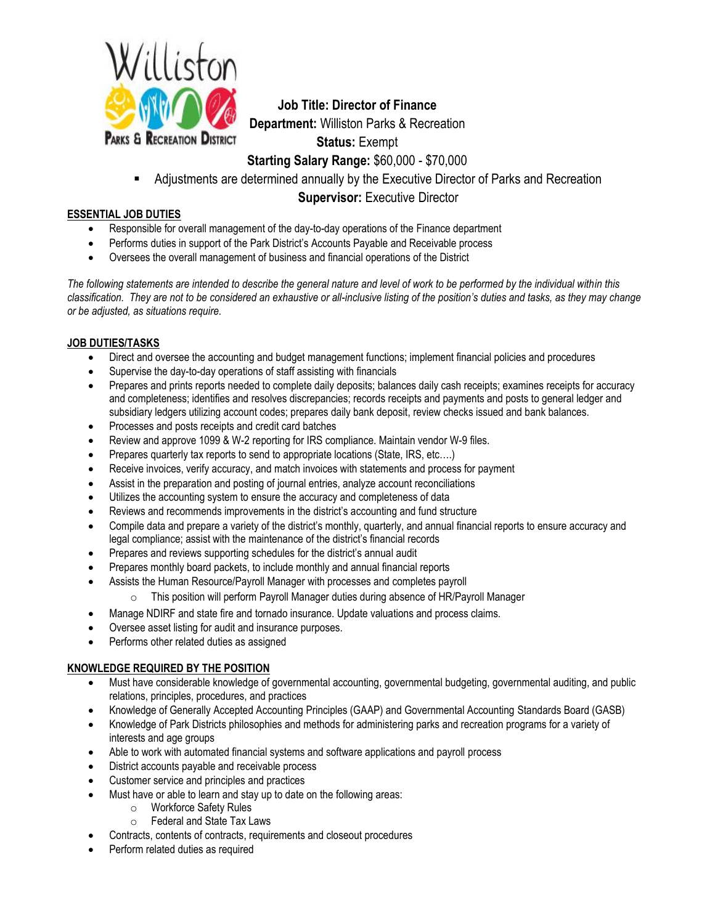

**Job Title: Director of Finance Department:** Williston Parks & Recreation **Status:** Exempt **Starting Salary Range:** \$60,000 - \$70,000

Adjustments are determined annually by the Executive Director of Parks and Recreation

**Supervisor: Executive Director** 

# **ESSENTIAL JOB DUTIES**

- Responsible for overall management of the day-to-day operations of the Finance department
- Performs duties in support of the Park District's Accounts Payable and Receivable process
- Oversees the overall management of business and financial operations of the District

*The following statements are intended to describe the general nature and level of work to be performed by the individual within this classification. They are not to be considered an exhaustive or all-inclusive listing of the position's duties and tasks, as they may change or be adjusted, as situations require.*

# **JOB DUTIES/TASKS**

- Direct and oversee the accounting and budget management functions; implement financial policies and procedures
- Supervise the day-to-day operations of staff assisting with financials
- Prepares and prints reports needed to complete daily deposits; balances daily cash receipts; examines receipts for accuracy and completeness; identifies and resolves discrepancies; records receipts and payments and posts to general ledger and subsidiary ledgers utilizing account codes; prepares daily bank deposit, review checks issued and bank balances.
- Processes and posts receipts and credit card batches
- Review and approve 1099 & W-2 reporting for IRS compliance. Maintain vendor W-9 files.
- Prepares quarterly tax reports to send to appropriate locations (State, IRS, etc....)
- Receive invoices, verify accuracy, and match invoices with statements and process for payment
- Assist in the preparation and posting of journal entries, analyze account reconciliations
- Utilizes the accounting system to ensure the accuracy and completeness of data
- Reviews and recommends improvements in the district's accounting and fund structure
- Compile data and prepare a variety of the district's monthly, quarterly, and annual financial reports to ensure accuracy and legal compliance; assist with the maintenance of the district's financial records
- Prepares and reviews supporting schedules for the district's annual audit
- Prepares monthly board packets, to include monthly and annual financial reports
- Assists the Human Resource/Payroll Manager with processes and completes payroll
	- o This position will perform Payroll Manager duties during absence of HR/Payroll Manager
- Manage NDIRF and state fire and tornado insurance. Update valuations and process claims.
- Oversee asset listing for audit and insurance purposes.
- Performs other related duties as assigned

## **KNOWLEDGE REQUIRED BY THE POSITION**

- Must have considerable knowledge of governmental accounting, governmental budgeting, governmental auditing, and public relations, principles, procedures, and practices
- Knowledge of Generally Accepted Accounting Principles (GAAP) and Governmental Accounting Standards Board (GASB)
- Knowledge of Park Districts philosophies and methods for administering parks and recreation programs for a variety of interests and age groups
- Able to work with automated financial systems and software applications and payroll process
- District accounts payable and receivable process
- Customer service and principles and practices
- Must have or able to learn and stay up to date on the following areas:
	- o Workforce Safety Rules
	- o Federal and State Tax Laws
- Contracts, contents of contracts, requirements and closeout procedures
- Perform related duties as required